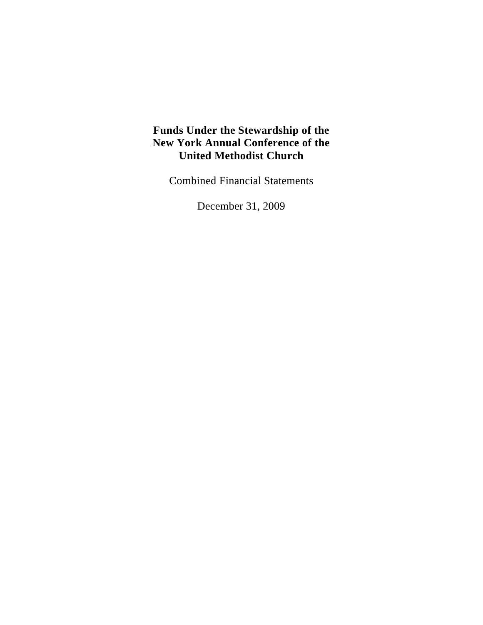Combined Financial Statements

December 31, 2009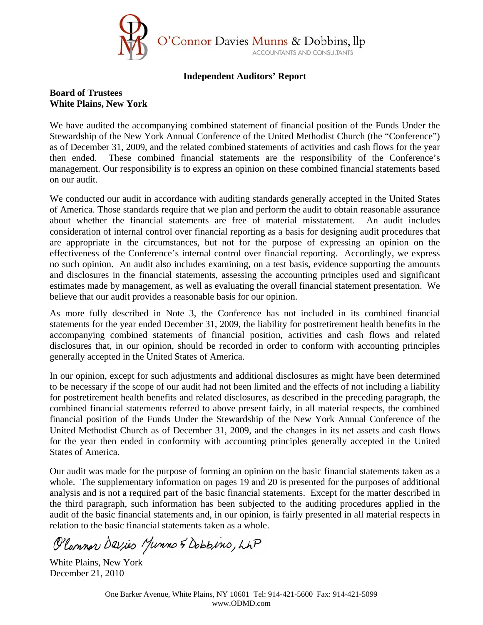

#### **Independent Auditors' Report**

### **Board of Trustees White Plains, New York**

We have audited the accompanying combined statement of financial position of the Funds Under the Stewardship of the New York Annual Conference of the United Methodist Church (the "Conference") as of December 31, 2009, and the related combined statements of activities and cash flows for the year then ended. These combined financial statements are the responsibility of the Conference's management. Our responsibility is to express an opinion on these combined financial statements based on our audit.

We conducted our audit in accordance with auditing standards generally accepted in the United States of America. Those standards require that we plan and perform the audit to obtain reasonable assurance about whether the financial statements are free of material misstatement. An audit includes consideration of internal control over financial reporting as a basis for designing audit procedures that are appropriate in the circumstances, but not for the purpose of expressing an opinion on the effectiveness of the Conference's internal control over financial reporting. Accordingly, we express no such opinion. An audit also includes examining, on a test basis, evidence supporting the amounts and disclosures in the financial statements, assessing the accounting principles used and significant estimates made by management, as well as evaluating the overall financial statement presentation. We believe that our audit provides a reasonable basis for our opinion.

As more fully described in Note 3, the Conference has not included in its combined financial statements for the year ended December 31, 2009, the liability for postretirement health benefits in the accompanying combined statements of financial position, activities and cash flows and related disclosures that, in our opinion, should be recorded in order to conform with accounting principles generally accepted in the United States of America.

In our opinion, except for such adjustments and additional disclosures as might have been determined to be necessary if the scope of our audit had not been limited and the effects of not including a liability for postretirement health benefits and related disclosures, as described in the preceding paragraph, the combined financial statements referred to above present fairly, in all material respects, the combined financial position of the Funds Under the Stewardship of the New York Annual Conference of the United Methodist Church as of December 31, 2009, and the changes in its net assets and cash flows for the year then ended in conformity with accounting principles generally accepted in the United States of America.

Our audit was made for the purpose of forming an opinion on the basic financial statements taken as a whole. The supplementary information on pages 19 and 20 is presented for the purposes of additional analysis and is not a required part of the basic financial statements. Except for the matter described in the third paragraph, such information has been subjected to the auditing procedures applied in the audit of the basic financial statements and, in our opinion, is fairly presented in all material respects in relation to the basic financial statements taken as a whole.

O'Common Davies Munns & Dobbins, LAP

White Plains, New York December 21, 2010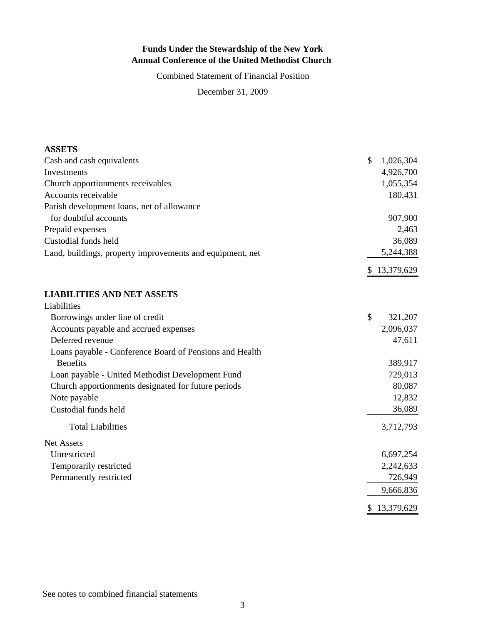Combined Statement of Financial Position

December 31, 2009

| <b>ASSETS</b>                                             |                          |
|-----------------------------------------------------------|--------------------------|
| Cash and cash equivalents                                 | \$<br>1,026,304          |
| Investments                                               | 4,926,700                |
| Church apportionments receivables                         | 1,055,354                |
| Accounts receivable                                       | 180,431                  |
| Parish development loans, net of allowance                |                          |
| for doubtful accounts                                     | 907,900                  |
| Prepaid expenses                                          | 2,463                    |
| Custodial funds held                                      | 36,089                   |
| Land, buildings, property improvements and equipment, net | 5,244,388                |
|                                                           | 13,379,629<br>\$         |
| <b>LIABILITIES AND NET ASSETS</b>                         |                          |
| Liabilities                                               |                          |
| Borrowings under line of credit                           | $\mathcal{S}$<br>321,207 |
| Accounts payable and accrued expenses                     | 2,096,037                |
| Deferred revenue                                          | 47,611                   |
| Loans payable - Conference Board of Pensions and Health   |                          |
| <b>Benefits</b>                                           | 389,917                  |
| Loan payable - United Methodist Development Fund          | 729,013                  |
| Church apportionments designated for future periods       | 80,087                   |
| Note payable                                              | 12,832                   |
| Custodial funds held                                      | 36,089                   |
| <b>Total Liabilities</b>                                  | 3,712,793                |
| <b>Net Assets</b>                                         |                          |
| Unrestricted                                              | 6,697,254                |
| Temporarily restricted                                    | 2,242,633                |
| Permanently restricted                                    | 726,949                  |
|                                                           | 9,666,836                |
|                                                           | 13,379,629<br>\$         |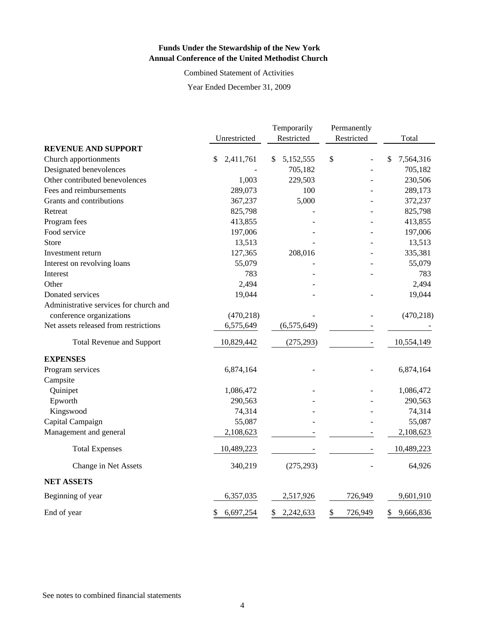Combined Statement of Activities

Year Ended December 31, 2009

|                                        |                 | Temporarily     | Permanently   |                 |
|----------------------------------------|-----------------|-----------------|---------------|-----------------|
|                                        | Unrestricted    | Restricted      | Restricted    | Total           |
| <b>REVENUE AND SUPPORT</b>             |                 |                 |               |                 |
| Church apportionments                  | 2,411,761<br>\$ | 5,152,555<br>\$ | \$            | 7,564,316<br>\$ |
| Designated benevolences                |                 | 705,182         |               | 705,182         |
| Other contributed benevolences         | 1,003           | 229,503         |               | 230,506         |
| Fees and reimbursements                | 289,073         | 100             |               | 289,173         |
| Grants and contributions               | 367,237         | 5,000           |               | 372,237         |
| Retreat                                | 825,798         |                 |               | 825,798         |
| Program fees                           | 413,855         |                 |               | 413,855         |
| Food service                           | 197,006         |                 |               | 197,006         |
| Store                                  | 13,513          |                 |               | 13,513          |
| Investment return                      | 127,365         | 208,016         |               | 335,381         |
| Interest on revolving loans            | 55,079          |                 |               | 55,079          |
| Interest                               | 783             |                 |               | 783             |
| Other                                  | 2,494           |                 |               | 2,494           |
| Donated services                       | 19,044          |                 |               | 19,044          |
| Administrative services for church and |                 |                 |               |                 |
| conference organizations               | (470, 218)      |                 |               | (470, 218)      |
| Net assets released from restrictions  | 6,575,649       | (6,575,649)     |               |                 |
| <b>Total Revenue and Support</b>       | 10,829,442      | (275, 293)      |               | 10,554,149      |
| <b>EXPENSES</b>                        |                 |                 |               |                 |
| Program services                       | 6,874,164       |                 |               | 6,874,164       |
| Campsite                               |                 |                 |               |                 |
| Quinipet                               | 1,086,472       |                 |               | 1,086,472       |
| Epworth                                | 290,563         |                 |               | 290,563         |
| Kingswood                              | 74,314          |                 |               | 74,314          |
| Capital Campaign                       | 55,087          |                 |               | 55,087          |
| Management and general                 | 2,108,623       |                 |               | 2,108,623       |
| <b>Total Expenses</b>                  | 10,489,223      |                 |               | 10,489,223      |
| Change in Net Assets                   | 340,219         | (275, 293)      |               | 64,926          |
| <b>NET ASSETS</b>                      |                 |                 |               |                 |
| Beginning of year                      | 6,357,035       | 2,517,926       | 726,949       | 9,601,910       |
| End of year                            | \$<br>6,697,254 | 2,242,633<br>\$ | \$<br>726,949 | \$<br>9,666,836 |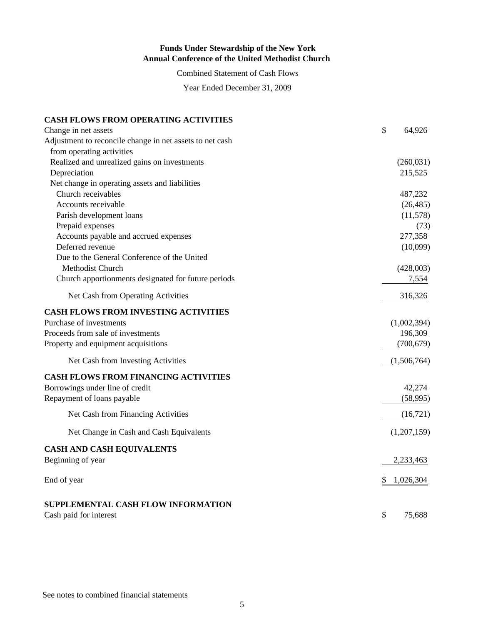Combined Statement of Cash Flows

Year Ended December 31, 2009

#### **CASH FLOWS FROM OPERATING ACTIVITIES**

| Change in net assets                                     | \$<br>64,926    |
|----------------------------------------------------------|-----------------|
| Adjustment to reconcile change in net assets to net cash |                 |
| from operating activities                                |                 |
| Realized and unrealized gains on investments             | (260, 031)      |
| Depreciation                                             | 215,525         |
| Net change in operating assets and liabilities           |                 |
| Church receivables                                       | 487,232         |
| Accounts receivable                                      | (26, 485)       |
| Parish development loans                                 | (11, 578)       |
| Prepaid expenses                                         | (73)            |
| Accounts payable and accrued expenses                    | 277,358         |
| Deferred revenue                                         | (10,099)        |
| Due to the General Conference of the United              |                 |
| Methodist Church                                         | (428,003)       |
| Church apportionments designated for future periods      | 7,554           |
| Net Cash from Operating Activities                       | 316,326         |
| <b>CASH FLOWS FROM INVESTING ACTIVITIES</b>              |                 |
| Purchase of investments                                  | (1,002,394)     |
| Proceeds from sale of investments                        | 196,309         |
| Property and equipment acquisitions                      | (700, 679)      |
| Net Cash from Investing Activities                       | (1,506,764)     |
| <b>CASH FLOWS FROM FINANCING ACTIVITIES</b>              |                 |
| Borrowings under line of credit                          | 42,274          |
| Repayment of loans payable                               | (58,995)        |
| Net Cash from Financing Activities                       | (16, 721)       |
| Net Change in Cash and Cash Equivalents                  | (1,207,159)     |
| <b>CASH AND CASH EQUIVALENTS</b>                         |                 |
| Beginning of year                                        | 2,233,463       |
| End of year                                              | 1,026,304<br>\$ |
| SUPPLEMENTAL CASH FLOW INFORMATION                       |                 |
| Cash paid for interest                                   | \$<br>75.688    |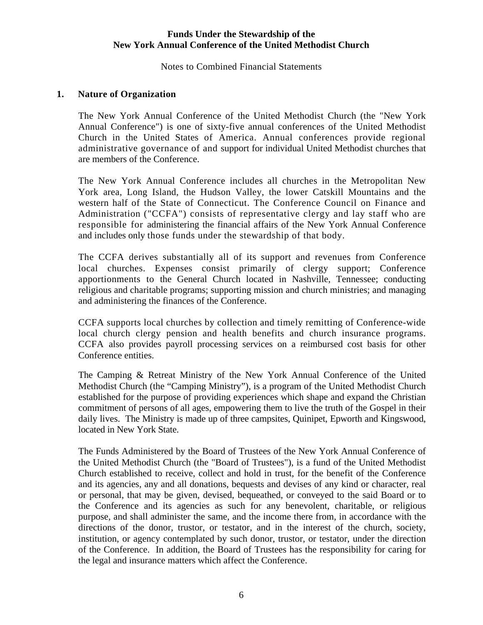Notes to Combined Financial Statements

#### **1. Nature of Organization**

The New York Annual Conference of the United Methodist Church (the "New York Annual Conference") is one of sixty-five annual conferences of the United Methodist Church in the United States of America. Annual conferences provide regional administrative governance of and support for individual United Methodist churches that are members of the Conference.

The New York Annual Conference includes all churches in the Metropolitan New York area, Long Island, the Hudson Valley, the lower Catskill Mountains and the western half of the State of Connecticut. The Conference Council on Finance and Administration ("CCFA") consists of representative clergy and lay staff who are responsible for administering the financial affairs of the New York Annual Conference and includes only those funds under the stewardship of that body.

The CCFA derives substantially all of its support and revenues from Conference local churches. Expenses consist primarily of clergy support; Conference apportionments to the General Church located in Nashville, Tennessee; conducting religious and charitable programs; supporting mission and church ministries; and managing and administering the finances of the Conference.

CCFA supports local churches by collection and timely remitting of Conference-wide local church clergy pension and health benefits and church insurance programs. CCFA also provides payroll processing services on a reimbursed cost basis for other Conference entities.

The Camping & Retreat Ministry of the New York Annual Conference of the United Methodist Church (the "Camping Ministry"), is a program of the United Methodist Church established for the purpose of providing experiences which shape and expand the Christian commitment of persons of all ages, empowering them to live the truth of the Gospel in their daily lives. The Ministry is made up of three campsites, Quinipet, Epworth and Kingswood, located in New York State.

The Funds Administered by the Board of Trustees of the New York Annual Conference of the United Methodist Church (the "Board of Trustees"), is a fund of the United Methodist Church established to receive, collect and hold in trust, for the benefit of the Conference and its agencies, any and all donations, bequests and devises of any kind or character, real or personal, that may be given, devised, bequeathed, or conveyed to the said Board or to the Conference and its agencies as such for any benevolent, charitable, or religious purpose, and shall administer the same, and the income there from, in accordance with the directions of the donor, trustor, or testator, and in the interest of the church, society, institution, or agency contemplated by such donor, trustor, or testator, under the direction of the Conference. In addition, the Board of Trustees has the responsibility for caring for the legal and insurance matters which affect the Conference.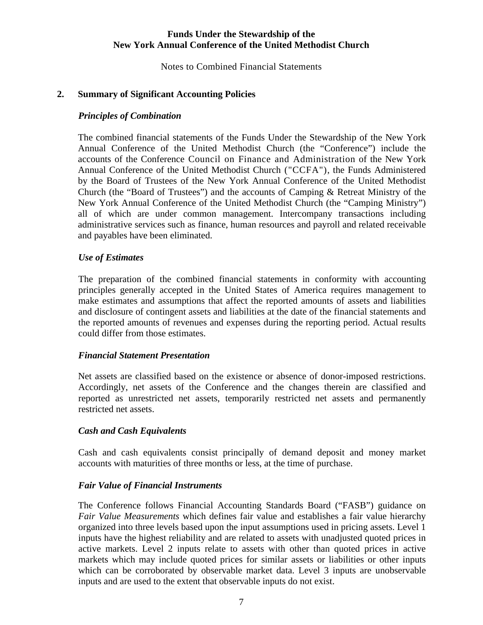Notes to Combined Financial Statements

### **2. Summary of Significant Accounting Policies**

### *Principles of Combination*

The combined financial statements of the Funds Under the Stewardship of the New York Annual Conference of the United Methodist Church (the "Conference") include the accounts of the Conference Council on Finance and Administration of the New York Annual Conference of the United Methodist Church ("CCFA"), the Funds Administered by the Board of Trustees of the New York Annual Conference of the United Methodist Church (the "Board of Trustees") and the accounts of Camping & Retreat Ministry of the New York Annual Conference of the United Methodist Church (the "Camping Ministry") all of which are under common management. Intercompany transactions including administrative services such as finance, human resources and payroll and related receivable and payables have been eliminated.

#### *Use of Estimates*

The preparation of the combined financial statements in conformity with accounting principles generally accepted in the United States of America requires management to make estimates and assumptions that affect the reported amounts of assets and liabilities and disclosure of contingent assets and liabilities at the date of the financial statements and the reported amounts of revenues and expenses during the reporting period. Actual results could differ from those estimates.

#### *Financial Statement Presentation*

 Net assets are classified based on the existence or absence of donor-imposed restrictions. Accordingly, net assets of the Conference and the changes therein are classified and reported as unrestricted net assets, temporarily restricted net assets and permanently restricted net assets.

#### *Cash and Cash Equivalents*

Cash and cash equivalents consist principally of demand deposit and money market accounts with maturities of three months or less, at the time of purchase.

#### *Fair Value of Financial Instruments*

 The Conference follows Financial Accounting Standards Board ("FASB") guidance on *Fair Value Measurements* which defines fair value and establishes a fair value hierarchy organized into three levels based upon the input assumptions used in pricing assets. Level 1 inputs have the highest reliability and are related to assets with unadjusted quoted prices in active markets. Level 2 inputs relate to assets with other than quoted prices in active markets which may include quoted prices for similar assets or liabilities or other inputs which can be corroborated by observable market data. Level 3 inputs are unobservable inputs and are used to the extent that observable inputs do not exist.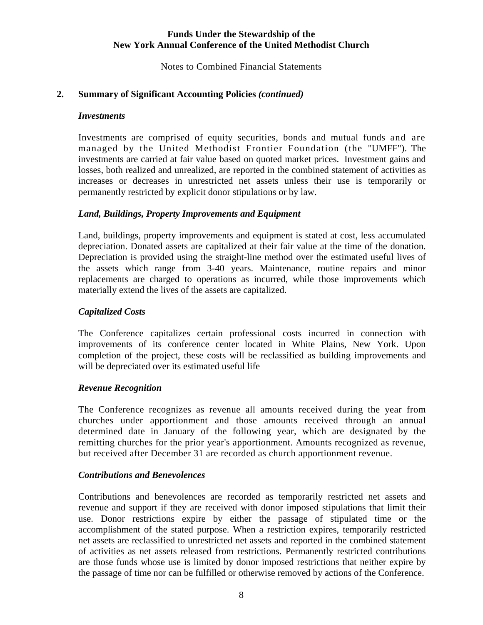Notes to Combined Financial Statements

## **2. Summary of Significant Accounting Policies** *(continued)*

#### *Investments*

Investments are comprised of equity securities, bonds and mutual funds and are managed by the United Methodist Frontier Foundation (the "UMFF"). The investments are carried at fair value based on quoted market prices. Investment gains and losses, both realized and unrealized, are reported in the combined statement of activities as increases or decreases in unrestricted net assets unless their use is temporarily or permanently restricted by explicit donor stipulations or by law.

#### *Land, Buildings, Property Improvements and Equipment*

Land, buildings, property improvements and equipment is stated at cost, less accumulated depreciation. Donated assets are capitalized at their fair value at the time of the donation. Depreciation is provided using the straight-line method over the estimated useful lives of the assets which range from 3-40 years. Maintenance, routine repairs and minor replacements are charged to operations as incurred, while those improvements which materially extend the lives of the assets are capitalized.

#### *Capitalized Costs*

The Conference capitalizes certain professional costs incurred in connection with improvements of its conference center located in White Plains, New York. Upon completion of the project, these costs will be reclassified as building improvements and will be depreciated over its estimated useful life

#### *Revenue Recognition*

The Conference recognizes as revenue all amounts received during the year from churches under apportionment and those amounts received through an annual determined date in January of the following year, which are designated by the remitting churches for the prior year's apportionment. Amounts recognized as revenue, but received after December 31 are recorded as church apportionment revenue.

#### *Contributions and Benevolences*

Contributions and benevolences are recorded as temporarily restricted net assets and revenue and support if they are received with donor imposed stipulations that limit their use. Donor restrictions expire by either the passage of stipulated time or the accomplishment of the stated purpose. When a restriction expires, temporarily restricted net assets are reclassified to unrestricted net assets and reported in the combined statement of activities as net assets released from restrictions. Permanently restricted contributions are those funds whose use is limited by donor imposed restrictions that neither expire by the passage of time nor can be fulfilled or otherwise removed by actions of the Conference.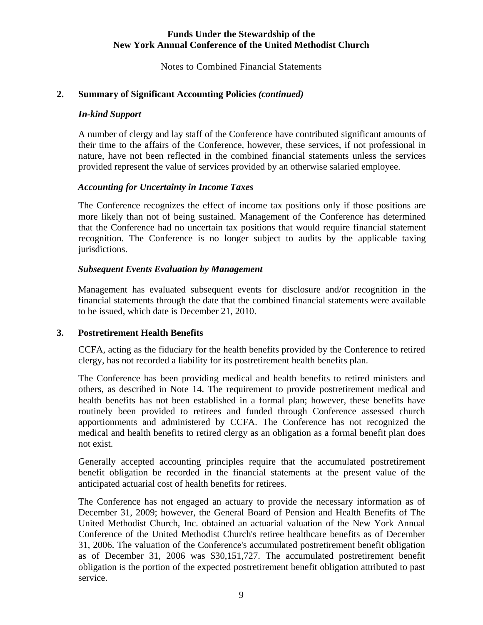Notes to Combined Financial Statements

#### **2. Summary of Significant Accounting Policies** *(continued)*

#### *In-kind Support*

A number of clergy and lay staff of the Conference have contributed significant amounts of their time to the affairs of the Conference, however, these services, if not professional in nature, have not been reflected in the combined financial statements unless the services provided represent the value of services provided by an otherwise salaried employee.

#### *Accounting for Uncertainty in Income Taxes*

The Conference recognizes the effect of income tax positions only if those positions are more likely than not of being sustained. Management of the Conference has determined that the Conference had no uncertain tax positions that would require financial statement recognition. The Conference is no longer subject to audits by the applicable taxing jurisdictions.

#### *Subsequent Events Evaluation by Management*

Management has evaluated subsequent events for disclosure and/or recognition in the financial statements through the date that the combined financial statements were available to be issued, which date is December 21, 2010.

#### **3. Postretirement Health Benefits**

CCFA, acting as the fiduciary for the health benefits provided by the Conference to retired clergy, has not recorded a liability for its postretirement health benefits plan.

The Conference has been providing medical and health benefits to retired ministers and others, as described in Note 14. The requirement to provide postretirement medical and health benefits has not been established in a formal plan; however, these benefits have routinely been provided to retirees and funded through Conference assessed church apportionments and administered by CCFA. The Conference has not recognized the medical and health benefits to retired clergy as an obligation as a formal benefit plan does not exist.

Generally accepted accounting principles require that the accumulated postretirement benefit obligation be recorded in the financial statements at the present value of the anticipated actuarial cost of health benefits for retirees.

The Conference has not engaged an actuary to provide the necessary information as of December 31, 2009; however, the General Board of Pension and Health Benefits of The United Methodist Church, Inc. obtained an actuarial valuation of the New York Annual Conference of the United Methodist Church's retiree healthcare benefits as of December 31, 2006. The valuation of the Conference's accumulated postretirement benefit obligation as of December 31, 2006 was \$30,151,727. The accumulated postretirement benefit obligation is the portion of the expected postretirement benefit obligation attributed to past service.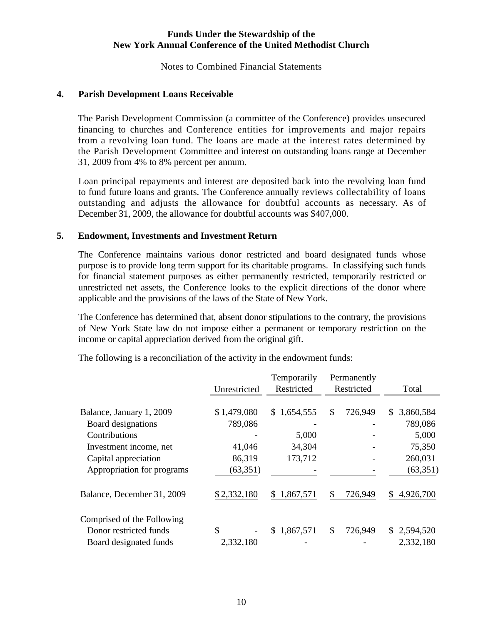Notes to Combined Financial Statements

#### **4. Parish Development Loans Receivable**

The Parish Development Commission (a committee of the Conference) provides unsecured financing to churches and Conference entities for improvements and major repairs from a revolving loan fund. The loans are made at the interest rates determined by the Parish Development Committee and interest on outstanding loans range at December 31, 2009 from 4% to 8% percent per annum.

Loan principal repayments and interest are deposited back into the revolving loan fund to fund future loans and grants. The Conference annually reviews collectability of loans outstanding and adjusts the allowance for doubtful accounts as necessary. As of December 31, 2009, the allowance for doubtful accounts was \$407,000.

#### **5. Endowment, Investments and Investment Return**

The Conference maintains various donor restricted and board designated funds whose purpose is to provide long term support for its charitable programs. In classifying such funds for financial statement purposes as either permanently restricted, temporarily restricted or unrestricted net assets, the Conference looks to the explicit directions of the donor where applicable and the provisions of the laws of the State of New York.

The Conference has determined that, absent donor stipulations to the contrary, the provisions of New York State law do not impose either a permanent or temporary restriction on the income or capital appreciation derived from the original gift.

|                            |              | Temporarily     | Permanently   |     |             |
|----------------------------|--------------|-----------------|---------------|-----|-------------|
|                            | Unrestricted | Restricted      | Restricted    |     | Total       |
|                            |              |                 |               |     |             |
| Balance, January 1, 2009   | \$1,479,080  | \$1,654,555     | \$<br>726,949 | \$  | 3,860,584   |
| Board designations         | 789,086      |                 |               |     | 789,086     |
| Contributions              |              | 5,000           |               |     | 5,000       |
| Investment income, net     | 41,046       | 34,304          |               |     | 75,350      |
| Capital appreciation       | 86,319       | 173,712         |               |     | 260,031     |
| Appropriation for programs | (63, 351)    |                 |               |     | (63, 351)   |
| Balance, December 31, 2009 | \$2,332,180  | 1,867,571<br>\$ | \$<br>726,949 | \$. | 4,926,700   |
| Comprised of the Following |              |                 |               |     |             |
| Donor restricted funds     | \$           | \$1,867,571     | \$<br>726,949 |     | \$2,594,520 |
| Board designated funds     | 2,332,180    |                 |               |     | 2,332,180   |

The following is a reconciliation of the activity in the endowment funds: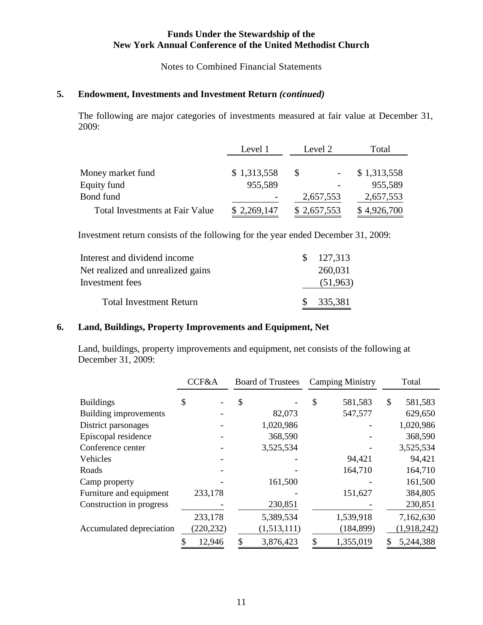Notes to Combined Financial Statements

## **5. Endowment, Investments and Investment Return** *(continued)*

The following are major categories of investments measured at fair value at December 31, 2009:

|                                        | Level 1     | Level 2      | Total       |
|----------------------------------------|-------------|--------------|-------------|
|                                        |             |              |             |
| Money market fund                      | \$1,313,558 | <sup>S</sup> | \$1,313,558 |
| Equity fund                            | 955,589     |              | 955,589     |
| Bond fund                              |             | 2,657,553    | 2,657,553   |
| <b>Total Investments at Fair Value</b> | \$2,269,147 | \$2,657,553  | \$4,926,700 |

Investment return consists of the following for the year ended December 31, 2009:

| Interest and dividend income      | $\frac{127,313}{2}$ |
|-----------------------------------|---------------------|
| Net realized and unrealized gains | 260,031             |
| Investment fees                   | (51,963)            |
| <b>Total Investment Return</b>    | \$335,381           |

#### **6. Land, Buildings, Property Improvements and Equipment, Net**

Land, buildings, property improvements and equipment, net consists of the following at December 31, 2009:

|                          | CCF&A      | <b>Board of Trustees</b> | <b>Camping Ministry</b> |                           | Total       |
|--------------------------|------------|--------------------------|-------------------------|---------------------------|-------------|
| <b>Buildings</b>         | \$         | \$                       | \$<br>581,583           | $\boldsymbol{\mathsf{S}}$ | 581,583     |
| Building improvements    |            | 82,073                   | 547,577                 |                           | 629,650     |
| District parsonages      |            | 1,020,986                |                         |                           | 1,020,986   |
| Episcopal residence      |            | 368,590                  |                         |                           | 368,590     |
| Conference center        |            | 3,525,534                |                         |                           | 3,525,534   |
| Vehicles                 |            |                          | 94,421                  |                           | 94,421      |
| Roads                    |            |                          | 164,710                 |                           | 164,710     |
| Camp property            |            | 161,500                  |                         |                           | 161,500     |
| Furniture and equipment  | 233,178    |                          | 151,627                 |                           | 384,805     |
| Construction in progress |            | 230,851                  |                         |                           | 230,851     |
|                          | 233,178    | 5,389,534                | 1,539,918               |                           | 7,162,630   |
| Accumulated depreciation | (220, 232) | (1,513,111)              | (184, 899)              |                           | (1,918,242) |
|                          | 12,946     | 3,876,423                | 1,355,019               | \$                        | 5,244,388   |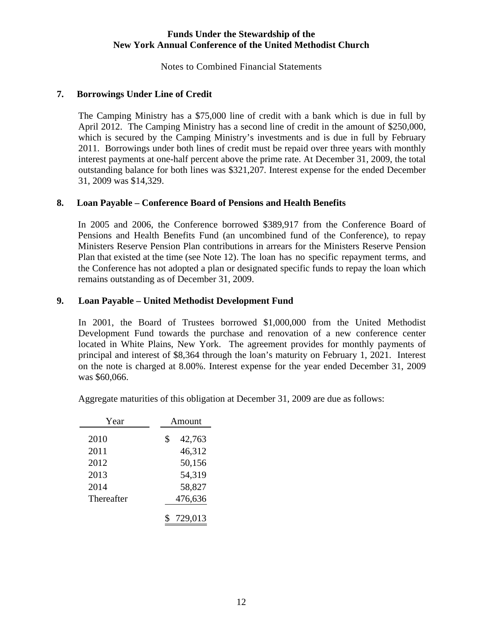Notes to Combined Financial Statements

### **7. Borrowings Under Line of Credit**

The Camping Ministry has a \$75,000 line of credit with a bank which is due in full by April 2012. The Camping Ministry has a second line of credit in the amount of \$250,000, which is secured by the Camping Ministry's investments and is due in full by February 2011. Borrowings under both lines of credit must be repaid over three years with monthly interest payments at one-half percent above the prime rate. At December 31, 2009, the total outstanding balance for both lines was \$321,207. Interest expense for the ended December 31, 2009 was \$14,329.

#### **8. Loan Payable – Conference Board of Pensions and Health Benefits**

In 2005 and 2006, the Conference borrowed \$389,917 from the Conference Board of Pensions and Health Benefits Fund (an uncombined fund of the Conference), to repay Ministers Reserve Pension Plan contributions in arrears for the Ministers Reserve Pension Plan that existed at the time (see Note 12). The loan has no specific repayment terms, and the Conference has not adopted a plan or designated specific funds to repay the loan which remains outstanding as of December 31, 2009.

### **9. Loan Payable – United Methodist Development Fund**

In 2001, the Board of Trustees borrowed \$1,000,000 from the United Methodist Development Fund towards the purchase and renovation of a new conference center located in White Plains, New York. The agreement provides for monthly payments of principal and interest of \$8,364 through the loan's maturity on February 1, 2021. Interest on the note is charged at 8.00%. Interest expense for the year ended December 31, 2009 was \$60,066.

| Year               | Amount            |
|--------------------|-------------------|
| 2010               | \$<br>42,763      |
| 2011               | 46,312            |
| 2012               | 50,156            |
| 2013               | 54,319            |
| 2014<br>Thereafter | 58,827<br>476,636 |
|                    |                   |
|                    | 729,013           |

Aggregate maturities of this obligation at December 31, 2009 are due as follows: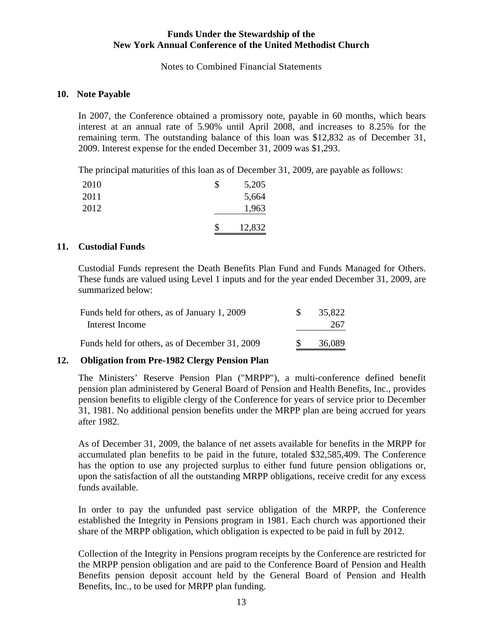Notes to Combined Financial Statements

#### **10. Note Payable**

In 2007, the Conference obtained a promissory note, payable in 60 months, which bears interest at an annual rate of 5.90% until April 2008, and increases to 8.25% for the remaining term. The outstanding balance of this loan was \$12,832 as of December 31, 2009. Interest expense for the ended December 31, 2009 was \$1,293.

The principal maturities of this loan as of December 31, 2009, are payable as follows:

| 2010 | S  | 5,205  |
|------|----|--------|
| 2011 |    | 5,664  |
| 2012 |    | 1,963  |
|      | \$ | 12,832 |

#### **11. Custodial Funds**

Custodial Funds represent the Death Benefits Plan Fund and Funds Managed for Others. These funds are valued using Level 1 inputs and for the year ended December 31, 2009, are summarized below:

| Funds held for others, as of January 1, 2009   | 35,822 |
|------------------------------------------------|--------|
| Interest Income                                | 267    |
| Funds held for others, as of December 31, 2009 | 36,089 |

#### **12. Obligation from Pre-1982 Clergy Pension Plan**

The Ministers' Reserve Pension Plan ("MRPP"), a multi-conference defined benefit pension plan administered by General Board of Pension and Health Benefits, Inc., provides pension benefits to eligible clergy of the Conference for years of service prior to December 31, 1981. No additional pension benefits under the MRPP plan are being accrued for years after 1982.

As of December 31, 2009, the balance of net assets available for benefits in the MRPP for accumulated plan benefits to be paid in the future, totaled \$32,585,409. The Conference has the option to use any projected surplus to either fund future pension obligations or, upon the satisfaction of all the outstanding MRPP obligations, receive credit for any excess funds available.

In order to pay the unfunded past service obligation of the MRPP, the Conference established the Integrity in Pensions program in 1981. Each church was apportioned their share of the MRPP obligation, which obligation is expected to be paid in full by 2012.

Collection of the Integrity in Pensions program receipts by the Conference are restricted for the MRPP pension obligation and are paid to the Conference Board of Pension and Health Benefits pension deposit account held by the General Board of Pension and Health Benefits, Inc., to be used for MRPP plan funding.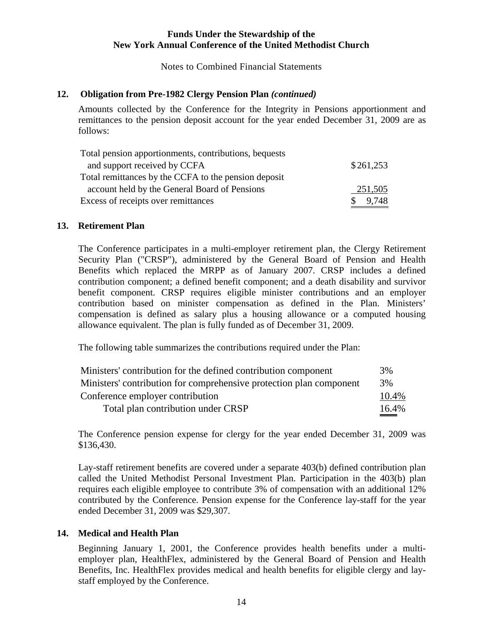Notes to Combined Financial Statements

#### **12. Obligation from Pre-1982 Clergy Pension Plan** *(continued)*

Amounts collected by the Conference for the Integrity in Pensions apportionment and remittances to the pension deposit account for the year ended December 31, 2009 are as follows:

| Total pension apportionments, contributions, bequests |                       |
|-------------------------------------------------------|-----------------------|
| and support received by CCFA                          | \$261,253             |
| Total remittances by the CCFA to the pension deposit  |                       |
| account held by the General Board of Pensions         | 251,505               |
| Excess of receipts over remittances                   | 9,748<br><sup>S</sup> |

#### **13. Retirement Plan**

The Conference participates in a multi-employer retirement plan, the Clergy Retirement Security Plan ("CRSP"), administered by the General Board of Pension and Health Benefits which replaced the MRPP as of January 2007. CRSP includes a defined contribution component; a defined benefit component; and a death disability and survivor benefit component. CRSP requires eligible minister contributions and an employer contribution based on minister compensation as defined in the Plan. Ministers' compensation is defined as salary plus a housing allowance or a computed housing allowance equivalent. The plan is fully funded as of December 31, 2009.

The following table summarizes the contributions required under the Plan:

| Ministers' contribution for the defined contribution component      | 3%    |
|---------------------------------------------------------------------|-------|
| Ministers' contribution for comprehensive protection plan component | 3%    |
| Conference employer contribution                                    | 10.4% |
| Total plan contribution under CRSP                                  | 16.4% |

The Conference pension expense for clergy for the year ended December 31, 2009 was \$136,430.

Lay-staff retirement benefits are covered under a separate 403(b) defined contribution plan called the United Methodist Personal Investment Plan. Participation in the 403(b) plan requires each eligible employee to contribute 3% of compensation with an additional 12% contributed by the Conference. Pension expense for the Conference lay-staff for the year ended December 31, 2009 was \$29,307.

#### **14. Medical and Health Plan**

Beginning January 1, 2001, the Conference provides health benefits under a multiemployer plan, HealthFlex, administered by the General Board of Pension and Health Benefits, Inc. HealthFlex provides medical and health benefits for eligible clergy and laystaff employed by the Conference.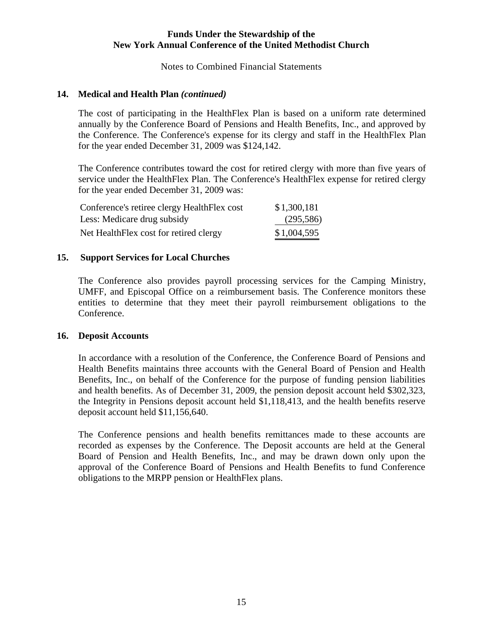Notes to Combined Financial Statements

#### **14. Medical and Health Plan** *(continued)*

The cost of participating in the HealthFlex Plan is based on a uniform rate determined annually by the Conference Board of Pensions and Health Benefits, Inc., and approved by the Conference. The Conference's expense for its clergy and staff in the HealthFlex Plan for the year ended December 31, 2009 was \$124,142.

The Conference contributes toward the cost for retired clergy with more than five years of service under the HealthFlex Plan. The Conference's HealthFlex expense for retired clergy for the year ended December 31, 2009 was:

| Conference's retiree clergy HealthFlex cost | \$1,300,181 |
|---------------------------------------------|-------------|
| Less: Medicare drug subsidy                 | (295, 586)  |
| Net Health Flex cost for retired clergy     | \$1,004,595 |

### **15. Support Services for Local Churches**

The Conference also provides payroll processing services for the Camping Ministry, UMFF, and Episcopal Office on a reimbursement basis. The Conference monitors these entities to determine that they meet their payroll reimbursement obligations to the Conference.

#### **16. Deposit Accounts**

In accordance with a resolution of the Conference, the Conference Board of Pensions and Health Benefits maintains three accounts with the General Board of Pension and Health Benefits, Inc., on behalf of the Conference for the purpose of funding pension liabilities and health benefits. As of December 31, 2009, the pension deposit account held \$302,323, the Integrity in Pensions deposit account held \$1,118,413, and the health benefits reserve deposit account held \$11,156,640.

The Conference pensions and health benefits remittances made to these accounts are recorded as expenses by the Conference. The Deposit accounts are held at the General Board of Pension and Health Benefits, Inc., and may be drawn down only upon the approval of the Conference Board of Pensions and Health Benefits to fund Conference obligations to the MRPP pension or HealthFlex plans.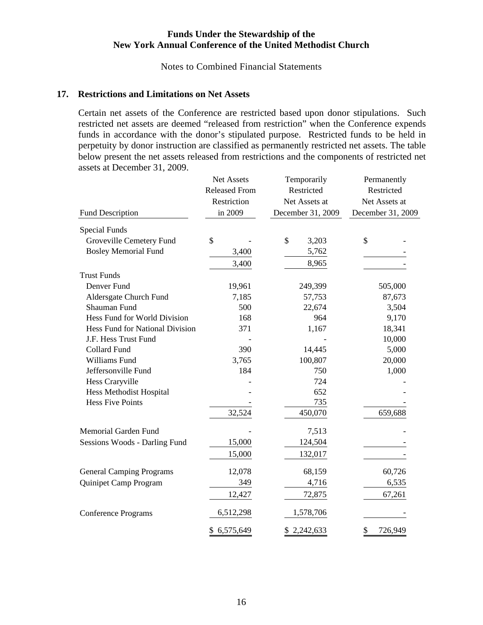Notes to Combined Financial Statements

#### **17. Restrictions and Limitations on Net Assets**

Certain net assets of the Conference are restricted based upon donor stipulations. Such restricted net assets are deemed "released from restriction" when the Conference expends funds in accordance with the donor's stipulated purpose. Restricted funds to be held in perpetuity by donor instruction are classified as permanently restricted net assets. The table below present the net assets released from restrictions and the components of restricted net assets at December 31, 2009.

|                                 | Net Assets           | Temporarily       | Permanently       |  |  |  |
|---------------------------------|----------------------|-------------------|-------------------|--|--|--|
|                                 | <b>Released From</b> | Restricted        | Restricted        |  |  |  |
|                                 | Restriction          | Net Assets at     | Net Assets at     |  |  |  |
| <b>Fund Description</b>         | in 2009              | December 31, 2009 | December 31, 2009 |  |  |  |
| <b>Special Funds</b>            |                      |                   |                   |  |  |  |
| Groveville Cemetery Fund        | $\mathcal{S}$        | \$<br>3,203       | \$                |  |  |  |
| <b>Bosley Memorial Fund</b>     | 3,400                | 5,762             |                   |  |  |  |
|                                 | 3,400                | 8,965             |                   |  |  |  |
| <b>Trust Funds</b>              |                      |                   |                   |  |  |  |
| Denver Fund                     | 19,961               | 249,399           | 505,000           |  |  |  |
| Aldersgate Church Fund          | 7,185                | 57,753            | 87,673            |  |  |  |
| Shauman Fund                    | 500                  | 22,674            | 3,504             |  |  |  |
| Hess Fund for World Division    | 168                  | 964               | 9,170             |  |  |  |
| Hess Fund for National Division | 371                  | 1,167             | 18,341            |  |  |  |
| J.F. Hess Trust Fund            |                      |                   | 10,000            |  |  |  |
| <b>Collard Fund</b>             | 390                  | 14,445            | 5,000             |  |  |  |
| Williams Fund                   | 3,765                | 100,807           | 20,000            |  |  |  |
| Jeffersonville Fund             | 184                  | 750               | 1,000             |  |  |  |
| Hess Craryville                 |                      | 724               |                   |  |  |  |
| Hess Methodist Hospital         |                      | 652               |                   |  |  |  |
| <b>Hess Five Points</b>         |                      | 735               |                   |  |  |  |
|                                 | 32,524               | 450,070           | 659,688           |  |  |  |
| Memorial Garden Fund            |                      | 7,513             |                   |  |  |  |
| Sessions Woods - Darling Fund   | 15,000               | 124,504           |                   |  |  |  |
|                                 | 15,000               | 132,017           |                   |  |  |  |
| <b>General Camping Programs</b> | 12,078               | 68,159            | 60,726            |  |  |  |
| Quinipet Camp Program           | 349                  | 4,716             | 6,535             |  |  |  |
|                                 | 12,427               | 72,875            | 67,261            |  |  |  |
| <b>Conference Programs</b>      | 6,512,298            | 1,578,706         |                   |  |  |  |
|                                 | \$6,575,649          | \$2,242,633       | \$<br>726,949     |  |  |  |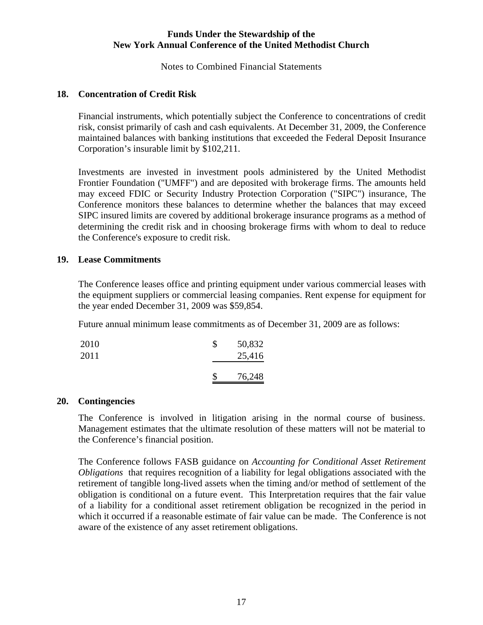Notes to Combined Financial Statements

#### **18. Concentration of Credit Risk**

Financial instruments, which potentially subject the Conference to concentrations of credit risk, consist primarily of cash and cash equivalents. At December 31, 2009, the Conference maintained balances with banking institutions that exceeded the Federal Deposit Insurance Corporation's insurable limit by \$102,211.

Investments are invested in investment pools administered by the United Methodist Frontier Foundation ("UMFF") and are deposited with brokerage firms. The amounts held may exceed FDIC or Security Industry Protection Corporation ("SIPC") insurance, The Conference monitors these balances to determine whether the balances that may exceed SIPC insured limits are covered by additional brokerage insurance programs as a method of determining the credit risk and in choosing brokerage firms with whom to deal to reduce the Conference's exposure to credit risk.

#### **19. Lease Commitments**

The Conference leases office and printing equipment under various commercial leases with the equipment suppliers or commercial leasing companies. Rent expense for equipment for the year ended December 31, 2009 was \$59,854.

Future annual minimum lease commitments as of December 31, 2009 are as follows:

| 2010<br>2011 | \$<br>50,832<br>25,416 |
|--------------|------------------------|
|              | 76,248                 |

#### **20. Contingencies**

The Conference is involved in litigation arising in the normal course of business. Management estimates that the ultimate resolution of these matters will not be material to the Conference's financial position.

The Conference follows FASB guidance on *Accounting for Conditional Asset Retirement Obligations* that requires recognition of a liability for legal obligations associated with the retirement of tangible long-lived assets when the timing and/or method of settlement of the obligation is conditional on a future event. This Interpretation requires that the fair value of a liability for a conditional asset retirement obligation be recognized in the period in which it occurred if a reasonable estimate of fair value can be made. The Conference is not aware of the existence of any asset retirement obligations.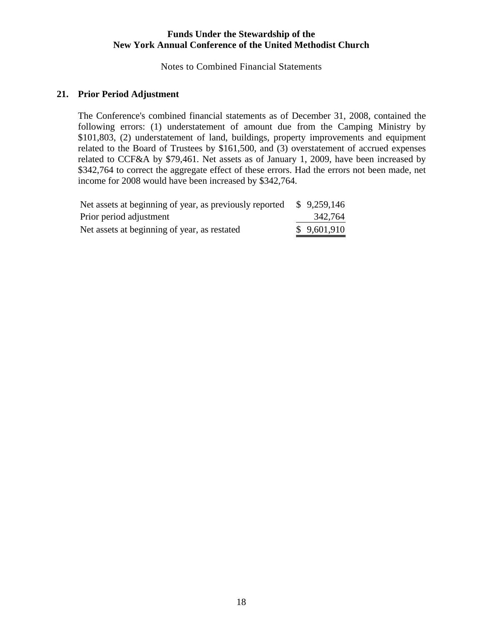Notes to Combined Financial Statements

#### **21. Prior Period Adjustment**

The Conference's combined financial statements as of December 31, 2008, contained the following errors: (1) understatement of amount due from the Camping Ministry by \$101,803, (2) understatement of land, buildings, property improvements and equipment related to the Board of Trustees by \$161,500, and (3) overstatement of accrued expenses related to CCF&A by \$79,461. Net assets as of January 1, 2009, have been increased by \$342,764 to correct the aggregate effect of these errors. Had the errors not been made, net income for 2008 would have been increased by \$342,764.

| Net assets at beginning of year, as previously reported | \$9,259,146 |
|---------------------------------------------------------|-------------|
| Prior period adjustment                                 | 342,764     |
| Net assets at beginning of year, as restated            | \$9,601,910 |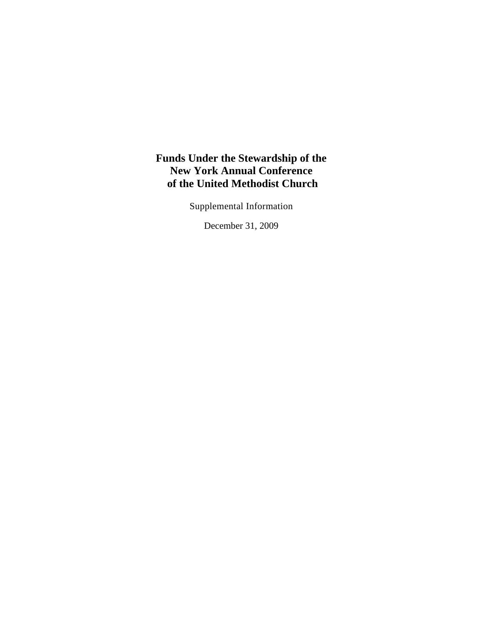Supplemental Information

December 31, 2009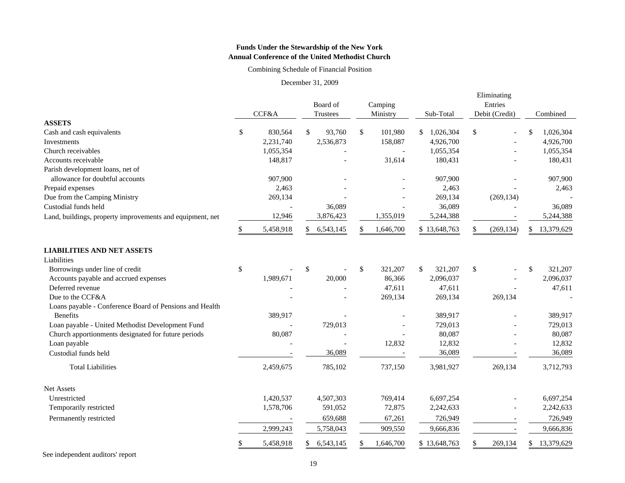Combining Schedule of Financial Position

December 31, 2009

|                                                                     |       |           |          |           |         |                          |           | Eliminating          |                |            |          |            |  |
|---------------------------------------------------------------------|-------|-----------|----------|-----------|---------|--------------------------|-----------|----------------------|----------------|------------|----------|------------|--|
|                                                                     | CCF&A |           | Board of |           | Camping |                          |           |                      | Entries        |            |          |            |  |
|                                                                     |       |           |          | Trustees  |         | Ministry                 | Sub-Total |                      | Debit (Credit) |            | Combined |            |  |
| <b>ASSETS</b>                                                       |       | 830,564   | \$       | 93,760    | \$      | 101,980                  |           | 1,026,304            | \$             |            |          | 1,026,304  |  |
| Cash and cash equivalents<br>Investments                            | \$    | 2,231,740 |          | 2,536,873 |         | 158,087                  | \$        | 4,926,700            |                |            |          | 4,926,700  |  |
| Church receivables                                                  |       |           |          |           |         |                          |           |                      |                |            |          | 1,055,354  |  |
| Accounts receivable                                                 |       | 1,055,354 |          |           |         | 31,614                   |           | 1,055,354<br>180,431 |                |            |          | 180,431    |  |
|                                                                     |       | 148,817   |          |           |         |                          |           |                      |                |            |          |            |  |
| Parish development loans, net of<br>allowance for doubtful accounts |       |           |          |           |         |                          |           |                      |                |            |          | 907,900    |  |
|                                                                     |       | 907,900   |          |           |         |                          |           | 907,900              |                |            |          |            |  |
| Prepaid expenses                                                    |       | 2,463     |          |           |         |                          |           | 2,463                |                |            |          | 2,463      |  |
| Due from the Camping Ministry                                       |       | 269,134   |          |           |         |                          |           | 269,134              |                | (269, 134) |          |            |  |
| Custodial funds held                                                |       |           |          | 36,089    |         |                          |           | 36,089               |                |            |          | 36,089     |  |
| Land, buildings, property improvements and equipment, net           |       | 12,946    |          | 3,876,423 |         | 1,355,019                |           | 5,244,388            |                |            |          | 5,244,388  |  |
|                                                                     | \$.   | 5,458,918 | \$       | 6,543,145 | \$.     | 1,646,700                |           | \$13,648,763         | \$             | (269, 134) | \$       | 13,379,629 |  |
| <b>LIABILITIES AND NET ASSETS</b><br>Liabilities                    |       |           |          |           |         |                          |           |                      |                |            |          |            |  |
| Borrowings under line of credit                                     | \$    |           | \$       |           | \$      | 321,207                  | \$        | 321,207              | \$             |            | \$       | 321,207    |  |
| Accounts payable and accrued expenses                               |       | 1,989,671 |          | 20,000    |         | 86,366                   |           | 2,096,037            |                |            |          | 2,096,037  |  |
| Deferred revenue                                                    |       |           |          |           |         | 47,611                   |           | 47,611               |                |            |          | 47,611     |  |
| Due to the CCF&A                                                    |       |           |          |           |         | 269,134                  |           | 269,134              |                | 269,134    |          |            |  |
| Loans payable - Conference Board of Pensions and Health             |       |           |          |           |         |                          |           |                      |                |            |          |            |  |
| <b>Benefits</b>                                                     |       | 389,917   |          |           |         |                          |           | 389,917              |                |            |          | 389,917    |  |
| Loan payable - United Methodist Development Fund                    |       |           |          | 729,013   |         |                          |           | 729,013              |                |            |          | 729,013    |  |
| Church apportionments designated for future periods                 |       | 80,087    |          |           |         |                          |           | 80,087               |                |            |          | 80,087     |  |
| Loan payable                                                        |       |           |          |           |         | 12,832                   |           | 12,832               |                |            |          | 12,832     |  |
| Custodial funds held                                                |       |           |          | 36,089    |         | $\overline{\phantom{a}}$ |           | 36,089               |                |            |          | 36,089     |  |
| <b>Total Liabilities</b>                                            |       | 2,459,675 |          | 785,102   |         | 737,150                  |           | 3,981,927            |                | 269,134    |          | 3,712,793  |  |
| <b>Net Assets</b>                                                   |       |           |          |           |         |                          |           |                      |                |            |          |            |  |
| Unrestricted                                                        |       | 1,420,537 |          | 4,507,303 |         | 769,414                  |           | 6,697,254            |                |            |          | 6,697,254  |  |
| Temporarily restricted                                              |       | 1,578,706 |          | 591,052   |         | 72,875                   |           | 2,242,633            |                |            |          | 2,242,633  |  |
| Permanently restricted                                              |       |           |          | 659,688   |         | 67,261                   |           | 726,949              |                |            |          | 726,949    |  |
|                                                                     |       | 2,999,243 |          | 5,758,043 |         | 909,550                  |           | 9,666,836            |                |            |          | 9,666,836  |  |
|                                                                     |       | 5,458,918 | \$       | 6,543,145 |         | 1,646,700                |           | \$13,648,763         | \$             | 269,134    | S        | 13,379,629 |  |

See independent auditors' report